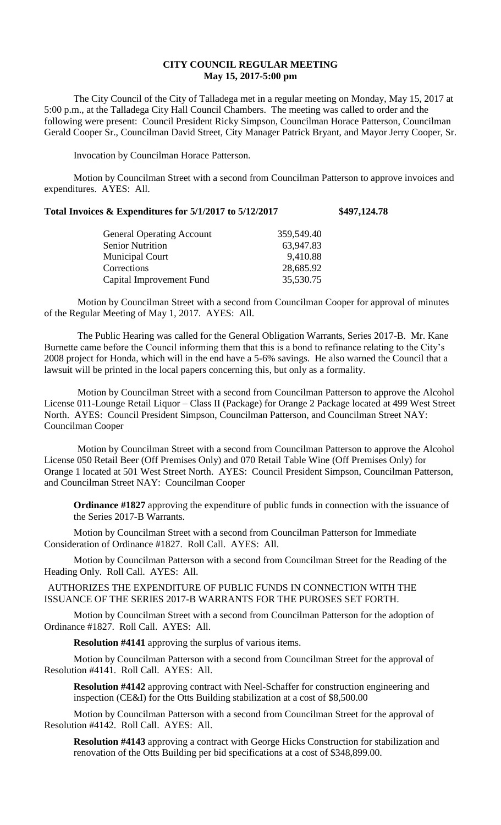## **CITY COUNCIL REGULAR MEETING May 15, 2017-5:00 pm**

The City Council of the City of Talladega met in a regular meeting on Monday, May 15, 2017 at 5:00 p.m., at the Talladega City Hall Council Chambers. The meeting was called to order and the following were present: Council President Ricky Simpson, Councilman Horace Patterson, Councilman Gerald Cooper Sr., Councilman David Street, City Manager Patrick Bryant, and Mayor Jerry Cooper, Sr.

Invocation by Councilman Horace Patterson.

Motion by Councilman Street with a second from Councilman Patterson to approve invoices and expenditures. AYES: All.

| Total Invoices & Expenditures for 5/1/2017 to 5/12/2017 | \$497,124.78 |
|---------------------------------------------------------|--------------|
|---------------------------------------------------------|--------------|

| <b>General Operating Account</b> | 359,549.40 |
|----------------------------------|------------|
| <b>Senior Nutrition</b>          | 63,947.83  |
| <b>Municipal Court</b>           | 9,410.88   |
| Corrections                      | 28,685.92  |
| Capital Improvement Fund         | 35,530.75  |
|                                  |            |

Motion by Councilman Street with a second from Councilman Cooper for approval of minutes of the Regular Meeting of May 1, 2017. AYES: All.

The Public Hearing was called for the General Obligation Warrants, Series 2017-B. Mr. Kane Burnette came before the Council informing them that this is a bond to refinance relating to the City's 2008 project for Honda, which will in the end have a 5-6% savings. He also warned the Council that a lawsuit will be printed in the local papers concerning this, but only as a formality.

Motion by Councilman Street with a second from Councilman Patterson to approve the Alcohol License 011-Lounge Retail Liquor – Class II (Package) for Orange 2 Package located at 499 West Street North. AYES: Council President Simpson, Councilman Patterson, and Councilman Street NAY: Councilman Cooper

Motion by Councilman Street with a second from Councilman Patterson to approve the Alcohol License 050 Retail Beer (Off Premises Only) and 070 Retail Table Wine (Off Premises Only) for Orange 1 located at 501 West Street North. AYES: Council President Simpson, Councilman Patterson, and Councilman Street NAY: Councilman Cooper

**Ordinance #1827** approving the expenditure of public funds in connection with the issuance of the Series 2017-B Warrants.

Motion by Councilman Street with a second from Councilman Patterson for Immediate Consideration of Ordinance #1827. Roll Call. AYES: All.

Motion by Councilman Patterson with a second from Councilman Street for the Reading of the Heading Only. Roll Call. AYES: All.

AUTHORIZES THE EXPENDITURE OF PUBLIC FUNDS IN CONNECTION WITH THE ISSUANCE OF THE SERIES 2017-B WARRANTS FOR THE PUROSES SET FORTH.

Motion by Councilman Street with a second from Councilman Patterson for the adoption of Ordinance #1827. Roll Call. AYES: All.

**Resolution #4141** approving the surplus of various items.

Motion by Councilman Patterson with a second from Councilman Street for the approval of Resolution #4141. Roll Call. AYES: All.

**Resolution #4142** approving contract with Neel-Schaffer for construction engineering and inspection (CE&I) for the Otts Building stabilization at a cost of \$8,500.00

Motion by Councilman Patterson with a second from Councilman Street for the approval of Resolution #4142. Roll Call. AYES: All.

**Resolution #4143** approving a contract with George Hicks Construction for stabilization and renovation of the Otts Building per bid specifications at a cost of \$348,899.00.